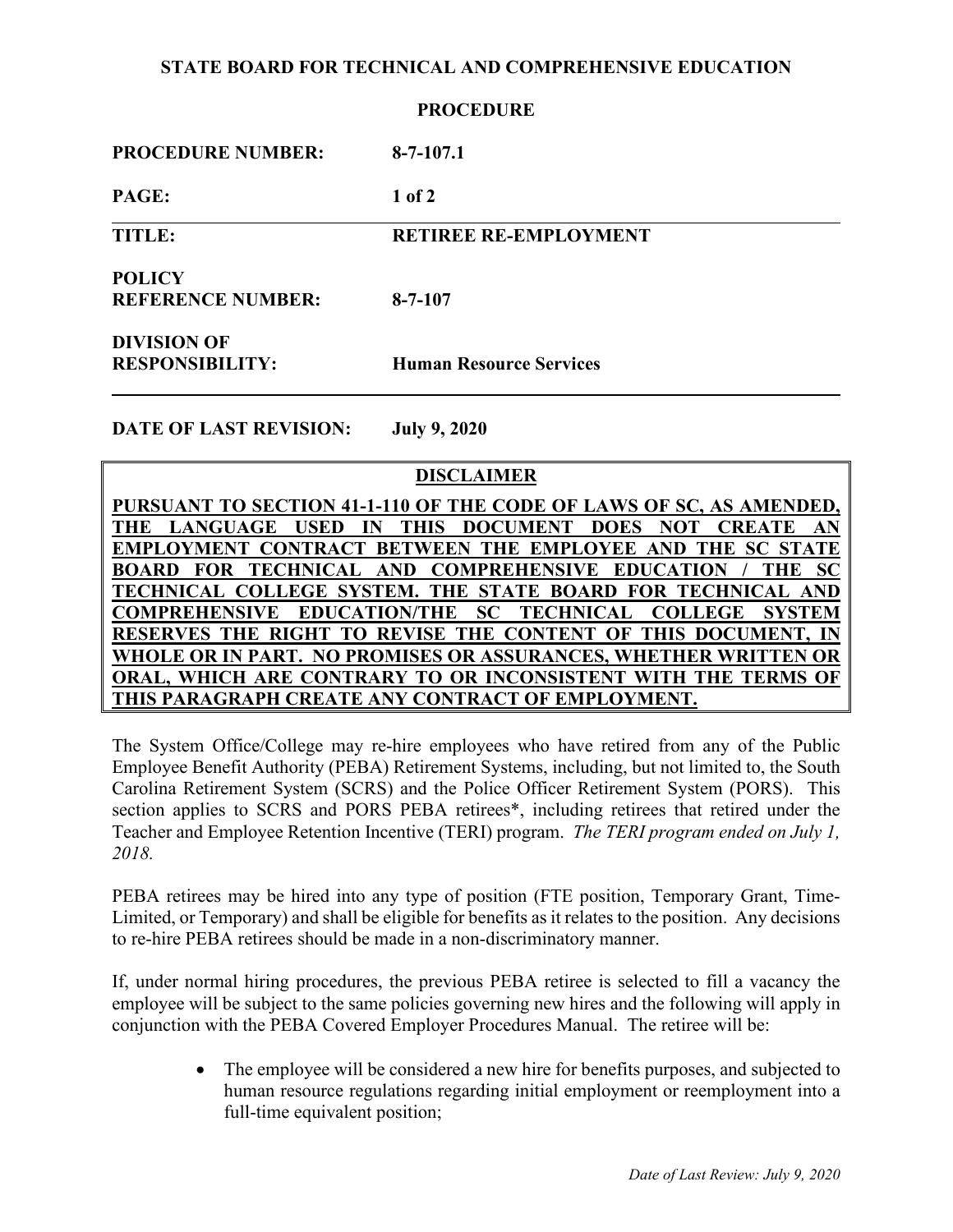# **STATE BOARD FOR TECHNICAL AND COMPREHENSIVE EDUCATION**

## **PROCEDURE**

| <b>PROCEDURE NUMBER:</b>                     | $8 - 7 - 107.1$                |
|----------------------------------------------|--------------------------------|
| PAGE:                                        | $1$ of $2$                     |
| <b>TITLE:</b>                                | <b>RETIREE RE-EMPLOYMENT</b>   |
| <b>POLICY</b><br><b>REFERENCE NUMBER:</b>    | $8 - 7 - 107$                  |
| <b>DIVISION OF</b><br><b>RESPONSIBILITY:</b> | <b>Human Resource Services</b> |

**DATE OF LAST REVISION: July 9, 2020**

# **DISCLAIMER**

**PURSUANT TO SECTION 41-1-110 OF THE CODE OF LAWS OF SC, AS AMENDED, THE LANGUAGE USED IN THIS DOCUMENT DOES NOT CREATE AN EMPLOYMENT CONTRACT BETWEEN THE EMPLOYEE AND THE SC STATE BOARD FOR TECHNICAL AND COMPREHENSIVE EDUCATION / THE SC TECHNICAL COLLEGE SYSTEM. THE STATE BOARD FOR TECHNICAL AND COMPREHENSIVE EDUCATION/THE SC TECHNICAL COLLEGE SYSTEM RESERVES THE RIGHT TO REVISE THE CONTENT OF THIS DOCUMENT, IN WHOLE OR IN PART. NO PROMISES OR ASSURANCES, WHETHER WRITTEN OR ORAL, WHICH ARE CONTRARY TO OR INCONSISTENT WITH THE TERMS OF THIS PARAGRAPH CREATE ANY CONTRACT OF EMPLOYMENT.**

The System Office/College may re-hire employees who have retired from any of the Public Employee Benefit Authority (PEBA) Retirement Systems, including, but not limited to, the South Carolina Retirement System (SCRS) and the Police Officer Retirement System (PORS). This section applies to SCRS and PORS PEBA retirees\*, including retirees that retired under the Teacher and Employee Retention Incentive (TERI) program. *The TERI program ended on July 1, 2018.*

PEBA retirees may be hired into any type of position (FTE position, Temporary Grant, Time-Limited, or Temporary) and shall be eligible for benefits as it relates to the position. Any decisions to re-hire PEBA retirees should be made in a non-discriminatory manner.

If, under normal hiring procedures, the previous PEBA retiree is selected to fill a vacancy the employee will be subject to the same policies governing new hires and the following will apply in conjunction with the PEBA Covered Employer Procedures Manual. The retiree will be:

> • The employee will be considered a new hire for benefits purposes, and subjected to human resource regulations regarding initial employment or reemployment into a full-time equivalent position;